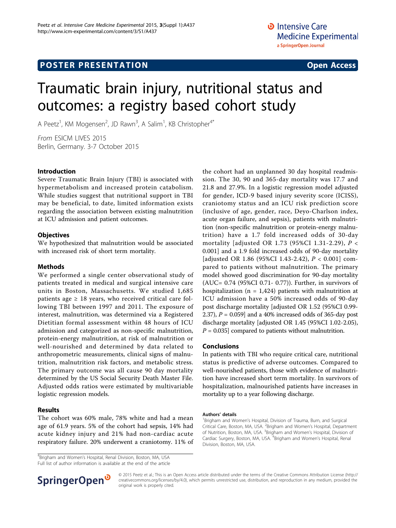## **POSTER PRESENTATION CONSUMING THE SERVICE SERVICE SERVICES**

# Traumatic brain injury, nutritional status and outcomes: a registry based cohort study

A Peetz<sup>1</sup>, KM Mogensen<sup>2</sup>, JD Rawn<sup>3</sup>, A Salim<sup>1</sup>, KB Christopher<sup>4\*</sup>

From ESICM LIVES 2015 Berlin, Germany. 3-7 October 2015

#### Introduction

Severe Traumatic Brain Injury (TBI) is associated with hypermetabolism and increased protein catabolism. While studies suggest that nutritional support in TBI may be beneficial, to date, limited information exists regarding the association between existing malnutrition at ICU admission and patient outcomes.

#### **Objectives**

We hypothesized that malnutrition would be associated with increased risk of short term mortality.

#### Methods

We performed a single center observational study of patients treated in medical and surgical intensive care units in Boston, Massachusetts. We studied 1,685 patients age  $\geq$  18 years, who received critical care following TBI between 1997 and 2011. The exposure of interest, malnutrition, was determined via a Registered Dietitian formal assessment within 48 hours of ICU admission and categorized as non-specific malnutrition, protein-energy malnutrition, at risk of malnutrition or well-nourished and determined by data related to anthropometric measurements, clinical signs of malnutrition, malnutrition risk factors, and metabolic stress. The primary outcome was all cause 90 day mortality determined by the US Social Security Death Master File. Adjusted odds ratios were estimated by multivariable logistic regression models.

#### Results

The cohort was 60% male, 78% white and had a mean age of 61.9 years. 5% of the cohort had sepsis, 14% had acute kidney injury and 21% had non-cardiac acute respiratory failure. 20% underwent a craniotomy. 11% of

<sup>4</sup>Brigham and Women's Hospital, Renal Division, Boston, MA, USA Full list of author information is available at the end of the article



#### Conclusions

In patients with TBI who require critical care, nutritional status is predictive of adverse outcomes. Compared to well-nourished patients, those with evidence of malnutrition have increased short term mortality. In survivors of hospitalization, malnourished patients have increases in mortality up to a year following discharge.

#### Authors' details <sup>1</sup>

<sup>1</sup>Brigham and Women's Hospital, Division of Trauma, Burn, and Surgical Critical Care, Boston, MA, USA. <sup>2</sup>Brigham and Women's Hospital, Department of Nutrition, Boston, MA, USA. <sup>3</sup>Brigham and Women's Hospital, Division of Cardiac Surgery, Boston, MA, USA. <sup>4</sup>Brigham and Women's Hospital, Renal Division, Boston, MA, USA.



© 2015 Peetz et al.; This is an Open Access article distributed under the terms of the Creative Commons Attribution License [\(http://](http://creativecommons.org/licenses/by/4.0) [creativecommons.org/licenses/by/4.0](http://creativecommons.org/licenses/by/4.0)), which permits unrestricted use, distribution, and reproduction in any medium, provided the original work is properly cited.